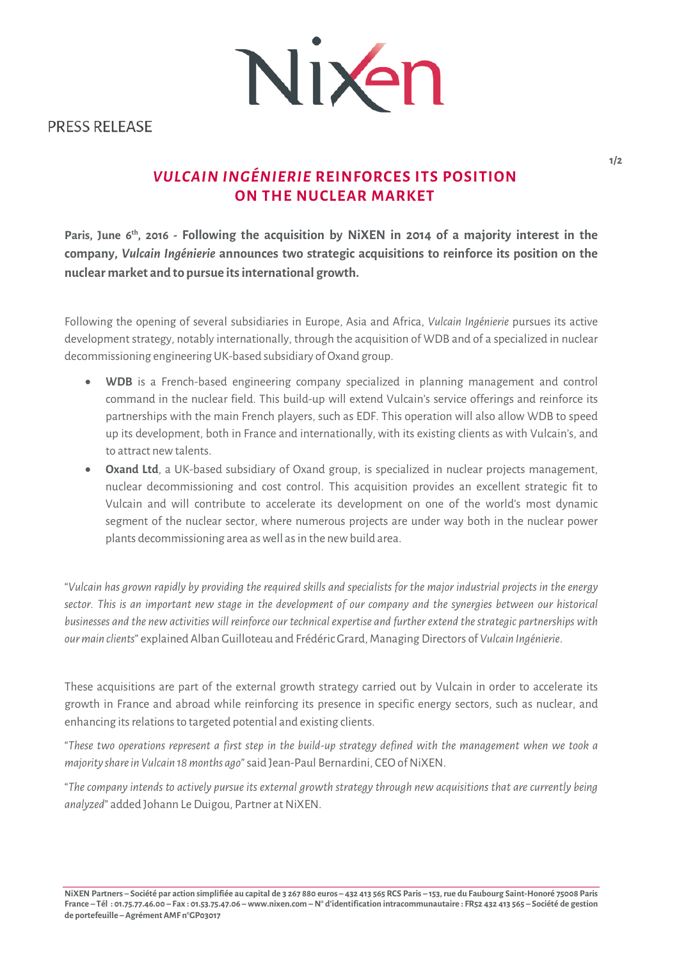Nixen

**PRESS RELEASE** 

# *VULCAIN INGÉNIERIE* **REINFORCES ITS POSITION ON THE NUCLEAR MARKET**

**Paris, June 6th, 2016 - Following the acquisition by NiXEN in 2014 of a majority interest in the company,** *Vulcain Ingénierie* **announces two strategic acquisitions to reinforce its position on the nuclear market and to pursue its international growth.**

Following the opening of several subsidiaries in Europe, Asia and Africa, *Vulcain Ingénierie* pursues its active development strategy, notably internationally, through the acquisition of WDB and of a specialized in nuclear decommissioning engineering UK-based subsidiary of Oxand group.

- **WDB** is a French-based engineering company specialized in planning management and control command in the nuclear field. This build-up will extend Vulcain's service offerings and reinforce its partnerships with the main French players, such as EDF. This operation will also allow WDB to speed up its development, both in France and internationally, with its existing clients as with Vulcain's, and to attract new talents.
- **Oxand Ltd**, a UK-based subsidiary of Oxand group, is specialized in nuclear projects management, nuclear decommissioning and cost control. This acquisition provides an excellent strategic fit to Vulcain and will contribute to accelerate its development on one of the world's most dynamic segment of the nuclear sector, where numerous projects are under way both in the nuclear power plants decommissioning area as well as in the new build area.

"*Vulcain has grown rapidly by providing the required skills and specialists for the major industrial projects in the energy sector. This is an important new stage in the development of our company and the synergies between our historical businesses and the new activities will reinforce our technical expertise and further extend the strategic partnerships with our main clients*" explained Alban Guilloteau and Frédéric Grard, Managing Directors of *Vulcain Ingénierie*.

These acquisitions are part of the external growth strategy carried out by Vulcain in order to accelerate its growth in France and abroad while reinforcing its presence in specific energy sectors, such as nuclear, and enhancing its relations to targeted potential and existing clients.

"*These two operations represent a first step in the build-up strategy defined with the management when we took a majority share in Vulcain 18 months ago*" said Jean-Paul Bernardini, CEO of NiXEN.

"*The company intends to actively pursue its external growth strategy through new acquisitions that are currently being analyzed*" added Johann Le Duigou, Partner at NiXEN.

**NiXEN Partners – Société par action simplifiée au capital de 3 267 880 euros – 432 413 565 RCS Paris – 153, rue du Faubourg Saint-Honoré 75008 Paris France – Tél : 01.75.77.46.00 – Fax : 01.53.75.47.06 – www.nixen.com – N° d'identification intracommunautaire : FR52 432 413 565 – Société de gestion de portefeuille –Agrément AMF n°GP03017**

**1/2**